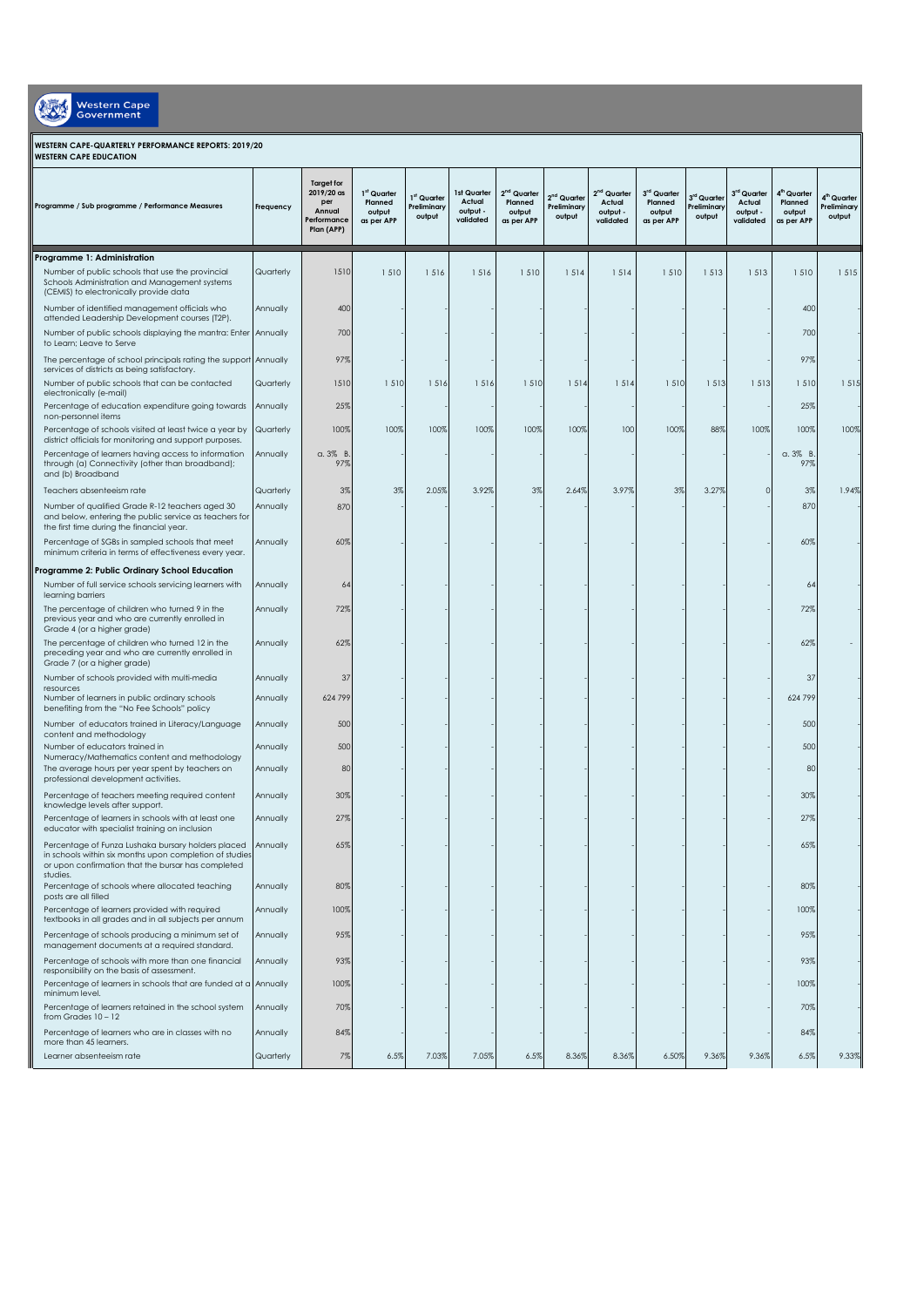| <b>Western Cape</b><br>Government<br>WESTERN CAPE-QUARTERLY PERFORMANCE REPORTS: 2019/20<br><b>WESTERN CAPE EDUCATION</b>                   |           |                                                                               |                                                            |                                                  |                                                |                                                  |                                        |                                                            |                                                |                                      |                                                |                                                            |                                                  |
|---------------------------------------------------------------------------------------------------------------------------------------------|-----------|-------------------------------------------------------------------------------|------------------------------------------------------------|--------------------------------------------------|------------------------------------------------|--------------------------------------------------|----------------------------------------|------------------------------------------------------------|------------------------------------------------|--------------------------------------|------------------------------------------------|------------------------------------------------------------|--------------------------------------------------|
| Programme / Sub programme / Performance Measures                                                                                            | Frequency | <b>Taraet for</b><br>2019/20 as<br>per<br>Annual<br>Performance<br>Plan (APP) | 1 <sup>st</sup> Quarter<br>Planned<br>output<br>as per APP | 1 <sup>st</sup> Quarter<br>Preliminary<br>output | 1st Quarter<br>Actual<br>output -<br>validated | $2nd$ Quarter<br>Planned<br>output<br>as per APP | $2nd$ Quarter<br>Preliminary<br>output | 2 <sup>nd</sup> Quarter<br>Actual<br>output -<br>validated | 3rd Quarter<br>Planned<br>output<br>as per APP | 3rd Quarter<br>Preliminary<br>output | 3rd Quarter<br>Actual<br>output -<br>validated | 4 <sup>th</sup> Quarter<br>Planned<br>output<br>as per APP | 4 <sup>th</sup> Quarter<br>Preliminary<br>output |
| <b>Programme 1: Administration</b>                                                                                                          |           |                                                                               |                                                            |                                                  |                                                |                                                  |                                        |                                                            |                                                |                                      |                                                |                                                            |                                                  |
| Number of public schools that use the provincial<br>Schools Administration and Management systems<br>(CEMIS) to electronically provide data | Quarterly | 1510                                                                          | 1510                                                       | 1516                                             | 1516                                           | 1510                                             | 1514                                   | 1 5 1 4                                                    | 1510                                           | 1 5 1 3                              | 1513                                           | 1510                                                       | 1515                                             |
| Number of identified management officials who<br>attended Leadership Development courses (T2P).                                             | Annually  | 400                                                                           |                                                            |                                                  |                                                |                                                  |                                        |                                                            |                                                |                                      |                                                | 400                                                        |                                                  |
| Number of public schools displaying the mantra: Enter Annually<br>to Learn: Leave to Serve                                                  |           | 700                                                                           |                                                            |                                                  |                                                |                                                  |                                        |                                                            |                                                |                                      |                                                | 700                                                        |                                                  |
| The percentage of school principals rating the support Annually<br>services of districts as being satisfactory.                             |           | 97%                                                                           |                                                            |                                                  |                                                |                                                  |                                        |                                                            |                                                |                                      |                                                | 97%                                                        |                                                  |
| Number of public schools that can be contacted<br>electronically (e-mail)                                                                   | Quarterly | 1510                                                                          | 1 510                                                      | 1516                                             | 1516                                           | 1 5 1 0                                          | 1514                                   | 1514                                                       | 1510                                           | 1 5 1 3                              | 1 5 1 3                                        | 1510                                                       | 1515                                             |
| Percentage of education expenditure going towards Annually<br>non-personnel items                                                           |           | 25%                                                                           |                                                            |                                                  |                                                |                                                  |                                        |                                                            |                                                |                                      |                                                | 25%                                                        |                                                  |
| Percentage of schools visited at least twice a year by Quarterly<br>district officials for monitoring and support purposes.                 |           | 100%                                                                          | 100%                                                       | 100%                                             | 100%                                           | 100%                                             | 100%                                   | 100                                                        | 100%                                           | 88%                                  | 100%                                           | 100%                                                       | 100%                                             |
| Percentage of learners having access to information<br>through (a) Connectivity (other than broadband);                                     | Annually  | $a.3\%$ B<br>97%                                                              |                                                            |                                                  |                                                |                                                  |                                        |                                                            |                                                |                                      |                                                | $a.3\%$ B.<br>97%                                          |                                                  |

| Percentage of schools visited at least twice a year by<br>district officials for monitoring and support purposes.                                                               | Quarterly | 100%             | 100% | 100%  | 100%  | 100% | 100%  | 100   | 100%  | 88%   | 100%     | 100%             | 100%  |
|---------------------------------------------------------------------------------------------------------------------------------------------------------------------------------|-----------|------------------|------|-------|-------|------|-------|-------|-------|-------|----------|------------------|-------|
| Percentage of learners having access to information<br>through (a) Connectivity (other than broadband);<br>and (b) Broadband                                                    | Annually  | $a.3\%$ B<br>97% |      |       |       |      |       |       |       |       |          | $a.3\%$ B<br>97% |       |
| Teachers absenteeism rate                                                                                                                                                       | Quarterly | 3%               | 3%   | 2.05% | 3.92% | 3%   | 2.64% | 3.97% | 3%    | 3.27% | $\Omega$ | 3%               | 1.94% |
| Number of qualified Grade R-12 teachers aged 30<br>and below, entering the public service as teachers for<br>the first time during the financial year.                          | Annually  | 870              |      |       |       |      |       |       |       |       |          | 870              |       |
| Percentage of SGBs in sampled schools that meet<br>minimum criteria in terms of effectiveness every year.                                                                       | Annually  | 60%              |      |       |       |      |       |       |       |       |          | 60%              |       |
| Programme 2: Public Ordinary School Education                                                                                                                                   |           |                  |      |       |       |      |       |       |       |       |          |                  |       |
| Number of full service schools servicing learners with<br>learning barriers                                                                                                     | Annually  | 64               |      |       |       |      |       |       |       |       |          | 64               |       |
| The percentage of children who turned 9 in the<br>previous year and who are currently enrolled in<br>Grade 4 (or a higher grade)                                                | Annually  | 72%              |      |       |       |      |       |       |       |       |          | 72%              |       |
| The percentage of children who turned 12 in the<br>preceding year and who are currently enrolled in<br>Grade 7 (or a higher grade)                                              | Annually  | 62%              |      |       |       |      |       |       |       |       |          | 62%              |       |
| Number of schools provided with multi-media                                                                                                                                     | Annually  | 37               |      |       |       |      |       |       |       |       |          | 37               |       |
| resources<br>Number of learners in public ordinary schools<br>benefiting from the "No Fee Schools" policy                                                                       | Annually  | 624 799          |      |       |       |      |       |       |       |       |          | 624 799          |       |
| Number of educators trained in Literacy/Language<br>content and methodology                                                                                                     | Annually  | 500              |      |       |       |      |       |       |       |       |          | 500              |       |
| Number of educators trained in<br>Numeracy/Mathematics content and methodology                                                                                                  | Annually  | 500              |      |       |       |      |       |       |       |       |          | 500              |       |
| The average hours per year spent by teachers on<br>professional development activities.                                                                                         | Annually  | 80               |      |       |       |      |       |       |       |       |          | 80               |       |
| Percentage of teachers meeting required content<br>knowledge levels after support.                                                                                              | Annually  | 30%              |      |       |       |      |       |       |       |       |          | 30%              |       |
| Percentage of learners in schools with at least one<br>educator with specialist training on inclusion                                                                           | Annually  | 27%              |      |       |       |      |       |       |       |       |          | 27%              |       |
| Percentage of Funza Lushaka bursary holders placed<br>in schools within six months upon completion of studies<br>or upon confirmation that the bursar has completed<br>studies. | Annually  | 65%              |      |       |       |      |       |       |       |       |          | 65%              |       |
| Percentage of schools where allocated teaching<br>posts are all filled                                                                                                          | Annually  | 80%              |      |       |       |      |       |       |       |       |          | 80%              |       |
| Percentage of learners provided with required<br>textbooks in all grades and in all subjects per annum                                                                          | Annually  | 100%             |      |       |       |      |       |       |       |       |          | 100%             |       |
| Percentage of schools producing a minimum set of<br>management documents at a required standard.                                                                                | Annually  | 95%              |      |       |       |      |       |       |       |       |          | 95%              |       |
| Percentage of schools with more than one financial<br>responsibility on the basis of assessment.                                                                                | Annually  | 93%              |      |       |       |      |       |       |       |       |          | 93%              |       |
| Percentage of learners in schools that are funded at a Annually<br>minimum level.                                                                                               |           | 100%             |      |       |       |      |       |       |       |       |          | 100%             |       |
| Percentage of learners retained in the school system<br>from Grades 10 - 12                                                                                                     | Annually  | 70%              |      |       |       |      |       |       |       |       |          | 70%              |       |
| Percentage of learners who are in classes with no<br>more than 45 learners.                                                                                                     | Annually  | 84%              |      |       |       |      |       |       |       |       |          | 84%              |       |
| Learner absenteeism rate                                                                                                                                                        | Quarterly | 7%               | 6.5% | 7.03% | 7.05% | 6.5% | 8.36% | 8.36% | 6.50% | 9.36% | 9.36%    | 6.5%             | 9.33% |